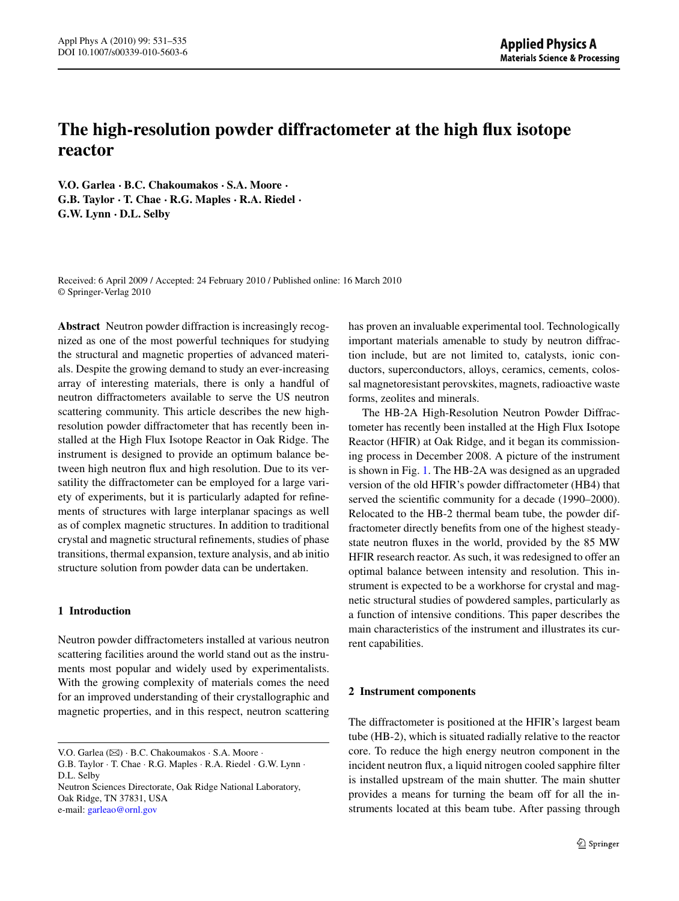# **The high-resolution powder diffractometer at the high flux isotope reactor**

**V.O. Garlea · B.C. Chakoumakos · S.A. Moore · G.B. Taylor · T. Chae · R.G. Maples · R.A. Riedel · G.W. Lynn · D.L. Selby**

Received: 6 April 2009 / Accepted: 24 February 2010 / Published online: 16 March 2010 © Springer-Verlag 2010

**Abstract** Neutron powder diffraction is increasingly recognized as one of the most powerful techniques for studying the structural and magnetic properties of advanced materials. Despite the growing demand to study an ever-increasing array of interesting materials, there is only a handful of neutron diffractometers available to serve the US neutron scattering community. This article describes the new highresolution powder diffractometer that has recently been installed at the High Flux Isotope Reactor in Oak Ridge. The instrument is designed to provide an optimum balance between high neutron flux and high resolution. Due to its versatility the diffractometer can be employed for a large variety of experiments, but it is particularly adapted for refinements of structures with large interplanar spacings as well as of complex magnetic structures. In addition to traditional crystal and magnetic structural refinements, studies of phase transitions, thermal expansion, texture analysis, and ab initio structure solution from powder data can be undertaken.

# **1 Introduction**

Neutron powder diffractometers installed at various neutron scattering facilities around the world stand out as the instruments most popular and widely used by experimentalists. With the growing complexity of materials comes the need for an improved understanding of their crystallographic and magnetic properties, and in this respect, neutron scattering

Neutron Sciences Directorate, Oak Ridge National Laboratory, Oak Ridge, TN 37831, USA e-mail: [garleao@ornl.gov](mailto:garleao@ornl.gov)

has proven an invaluable experimental tool. Technologically important materials amenable to study by neutron diffraction include, but are not limited to, catalysts, ionic conductors, superconductors, alloys, ceramics, cements, colossal magnetoresistant perovskites, magnets, radioactive waste forms, zeolites and minerals.

The HB-2A High-Resolution Neutron Powder Diffractometer has recently been installed at the High Flux Isotope Reactor (HFIR) at Oak Ridge, and it began its commissioning process in December 2008. A picture of the instrument is shown in Fig. [1.](#page-1-0) The HB-2A was designed as an upgraded version of the old HFIR's powder diffractometer (HB4) that served the scientific community for a decade (1990–2000). Relocated to the HB-2 thermal beam tube, the powder diffractometer directly benefits from one of the highest steadystate neutron fluxes in the world, provided by the 85 MW HFIR research reactor. As such, it was redesigned to offer an optimal balance between intensity and resolution. This instrument is expected to be a workhorse for crystal and magnetic structural studies of powdered samples, particularly as a function of intensive conditions. This paper describes the main characteristics of the instrument and illustrates its current capabilities.

# **2 Instrument components**

The diffractometer is positioned at the HFIR's largest beam tube (HB-2), which is situated radially relative to the reactor core. To reduce the high energy neutron component in the incident neutron flux, a liquid nitrogen cooled sapphire filter is installed upstream of the main shutter. The main shutter provides a means for turning the beam off for all the instruments located at this beam tube. After passing through

V.O. Garlea ( $\boxtimes$ ) · B.C. Chakoumakos · S.A. Moore ·

G.B. Taylor · T. Chae · R.G. Maples · R.A. Riedel · G.W. Lynn · D.L. Selby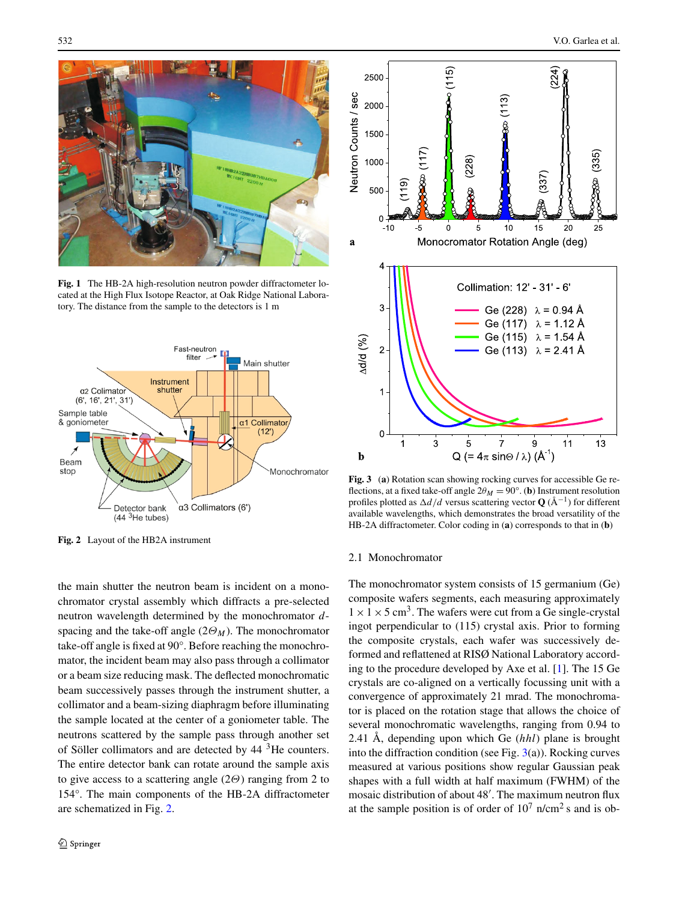<span id="page-1-0"></span>

**Fig. 1** The HB-2A high-resolution neutron powder diffractometer located at the High Flux Isotope Reactor, at Oak Ridge National Laboratory. The distance from the sample to the detectors is 1 m



**Fig. 2** Layout of the HB2A instrument

the main shutter the neutron beam is incident on a monochromator crystal assembly which diffracts a pre-selected neutron wavelength determined by the monochromator *d*spacing and the take-off angle  $(2\Theta_M)$ . The monochromator take-off angle is fixed at 90°. Before reaching the monochromator, the incident beam may also pass through a collimator or a beam size reducing mask. The deflected monochromatic beam successively passes through the instrument shutter, a collimator and a beam-sizing diaphragm before illuminating the sample located at the center of a goniometer table. The neutrons scattered by the sample pass through another set of Söller collimators and are detected by 44 3He counters. The entire detector bank can rotate around the sample axis to give access to a scattering angle (2*Θ*) ranging from 2 to 154°. The main components of the HB-2A diffractometer are schematized in Fig. 2.



**Fig. 3** (**a**) Rotation scan showing rocking curves for accessible Ge reflections, at a fixed take-off angle  $2\theta_M = 90^\circ$ . (**b**) Instrument resolution profiles plotted as *d/d* versus scattering vector **Q** (Å<sup>−</sup>1) for different available wavelengths, which demonstrates the broad versatility of the HB-2A diffractometer. Color coding in (**a**) corresponds to that in (**b**)

#### 2.1 Monochromator

The monochromator system consists of 15 germanium (Ge) composite wafers segments, each measuring approximately  $1 \times 1 \times 5$  cm<sup>3</sup>. The wafers were cut from a Ge single-crystal ingot perpendicular to (115) crystal axis. Prior to forming the composite crystals, each wafer was successively deformed and reflattened at RISØ National Laboratory according to the procedure developed by Axe et al. [\[1](#page-3-0)]. The 15 Ge crystals are co-aligned on a vertically focussing unit with a convergence of approximately 21 mrad. The monochromator is placed on the rotation stage that allows the choice of several monochromatic wavelengths, ranging from 0.94 to 2.41 Å, depending upon which Ge (*hhl*) plane is brought into the diffraction condition (see Fig.  $3(a)$ ). Rocking curves measured at various positions show regular Gaussian peak shapes with a full width at half maximum (FWHM) of the mosaic distribution of about 48'. The maximum neutron flux at the sample position is of order of  $10^7$  n/cm<sup>2</sup> s and is ob-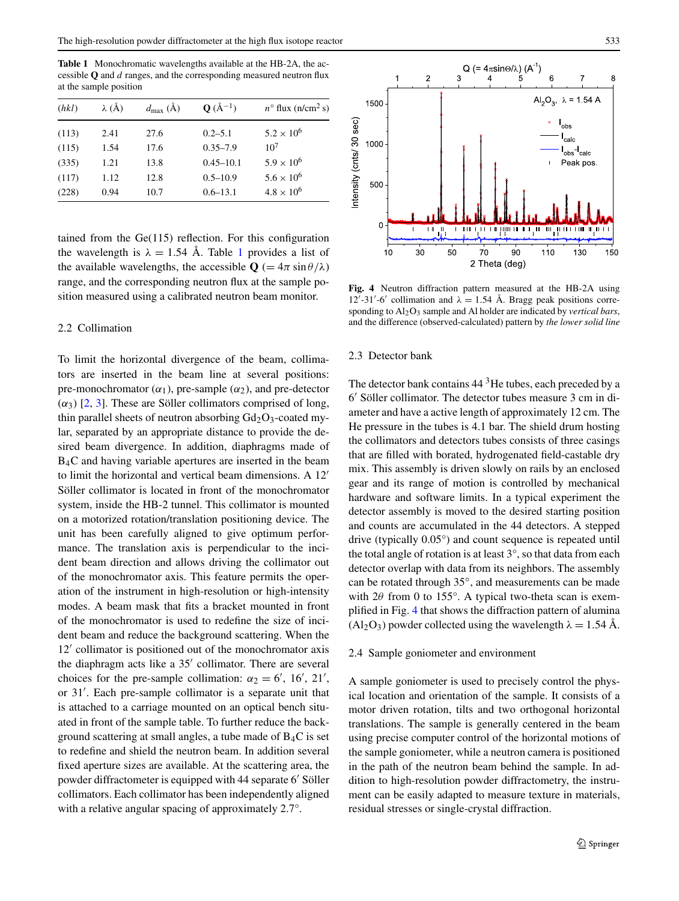**Table 1** Monochromatic wavelengths available at the HB-2A, the accessible **Q** and *d* ranges, and the corresponding measured neutron flux at the sample position

| (hkl) | $\lambda$ (Å) | $d_{\text{max}}(\text{\AA})$ | $Q(A^{-1})$   | $n^{\circ}$ flux (n/cm <sup>2</sup> s) |
|-------|---------------|------------------------------|---------------|----------------------------------------|
| (113) | 2.41          | 27.6                         | $0.2 - 5.1$   | $5.2 \times 10^{6}$                    |
| (115) | 1.54          | 17.6                         | $0.35 - 7.9$  | 10 <sup>7</sup>                        |
| (335) | 1.21          | 13.8                         | $0.45 - 10.1$ | $5.9 \times 10^{6}$                    |
| (117) | 1.12          | 12.8                         | $0.5 - 10.9$  | $5.6 \times 10^{6}$                    |
| (228) | 0.94          | 10.7                         | $0.6 - 13.1$  | $4.8 \times 10^{6}$                    |

tained from the Ge(115) reflection. For this configuration the wavelength is  $\lambda = 1.54$  Å. Table 1 provides a list of the available wavelengths, the accessible  $Q = 4\pi \sin \theta / \lambda$ range, and the corresponding neutron flux at the sample position measured using a calibrated neutron beam monitor.

## 2.2 Collimation

To limit the horizontal divergence of the beam, collimators are inserted in the beam line at several positions: pre-monochromator  $(\alpha_1)$ , pre-sample  $(\alpha_2)$ , and pre-detector  $(\alpha_3)$  [[2,](#page-4-0) [3\]](#page-4-0). These are Söller collimators comprised of long, thin parallel sheets of neutron absorbing  $Gd_2O_3$ -coated mylar, separated by an appropriate distance to provide the desired beam divergence. In addition, diaphragms made of B4C and having variable apertures are inserted in the beam to limit the horizontal and vertical beam dimensions. A 12<sup>'</sup> Söller collimator is located in front of the monochromator system, inside the HB-2 tunnel. This collimator is mounted on a motorized rotation/translation positioning device. The unit has been carefully aligned to give optimum performance. The translation axis is perpendicular to the incident beam direction and allows driving the collimator out of the monochromator axis. This feature permits the operation of the instrument in high-resolution or high-intensity modes. A beam mask that fits a bracket mounted in front of the monochromator is used to redefine the size of incident beam and reduce the background scattering. When the 12' collimator is positioned out of the monochromator axis the diaphragm acts like a 35' collimator. There are several choices for the pre-sample collimation:  $\alpha_2 = 6'$ , 16', 21', or 31'. Each pre-sample collimator is a separate unit that is attached to a carriage mounted on an optical bench situated in front of the sample table. To further reduce the background scattering at small angles, a tube made of B4C is set to redefine and shield the neutron beam. In addition several fixed aperture sizes are available. At the scattering area, the powder diffractometer is equipped with 44 separate 6' Söller collimators. Each collimator has been independently aligned with a relative angular spacing of approximately 2.7°.



**Fig. 4** Neutron diffraction pattern measured at the HB-2A using 12'-31'-6' collimation and  $λ = 1.54$  Å. Bragg peak positions corresponding to Al2O3 sample and Al holder are indicated by *vertical bars*, and the difference (observed-calculated) pattern by *the lower solid line*

### 2.3 Detector bank

The detector bank contains  $44<sup>3</sup>$ He tubes, each preceded by a 6' Söller collimator. The detector tubes measure 3 cm in diameter and have a active length of approximately 12 cm. The He pressure in the tubes is 4.1 bar. The shield drum hosting the collimators and detectors tubes consists of three casings that are filled with borated, hydrogenated field-castable dry mix. This assembly is driven slowly on rails by an enclosed gear and its range of motion is controlled by mechanical hardware and software limits. In a typical experiment the detector assembly is moved to the desired starting position and counts are accumulated in the 44 detectors. A stepped drive (typically 0.05°) and count sequence is repeated until the total angle of rotation is at least  $3^\circ$ , so that data from each detector overlap with data from its neighbors. The assembly can be rotated through 35◦, and measurements can be made with 2*θ* from 0 to 155°. A typical two-theta scan is exemplified in Fig. 4 that shows the diffraction pattern of alumina  $(Al_2O_3)$  powder collected using the wavelength  $\lambda = 1.54$  Å.

#### 2.4 Sample goniometer and environment

A sample goniometer is used to precisely control the physical location and orientation of the sample. It consists of a motor driven rotation, tilts and two orthogonal horizontal translations. The sample is generally centered in the beam using precise computer control of the horizontal motions of the sample goniometer, while a neutron camera is positioned in the path of the neutron beam behind the sample. In addition to high-resolution powder diffractometry, the instrument can be easily adapted to measure texture in materials, residual stresses or single-crystal diffraction.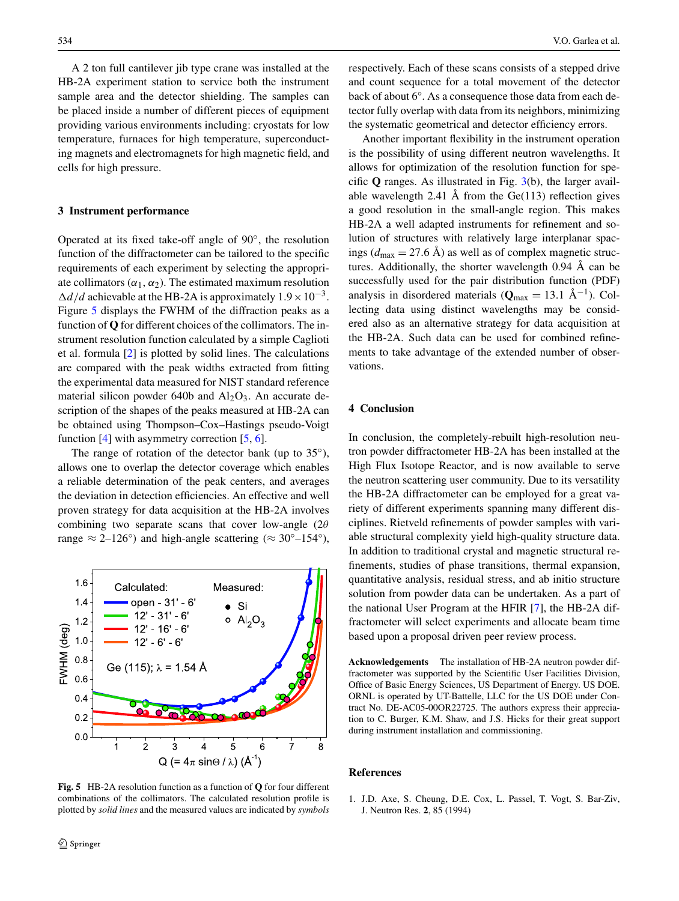<span id="page-3-0"></span>A 2 ton full cantilever jib type crane was installed at the HB-2A experiment station to service both the instrument sample area and the detector shielding. The samples can be placed inside a number of different pieces of equipment providing various environments including: cryostats for low temperature, furnaces for high temperature, superconducting magnets and electromagnets for high magnetic field, and cells for high pressure.

## **3 Instrument performance**

Operated at its fixed take-off angle of 90◦, the resolution function of the diffractometer can be tailored to the specific requirements of each experiment by selecting the appropriate collimators  $(\alpha_1, \alpha_2)$ . The estimated maximum resolution  $\Delta d/d$  achievable at the HB-2A is approximately  $1.9 \times 10^{-3}$ . Figure 5 displays the FWHM of the diffraction peaks as a function of **Q** for different choices of the collimators. The instrument resolution function calculated by a simple Caglioti et al. formula [[2\]](#page-4-0) is plotted by solid lines. The calculations are compared with the peak widths extracted from fitting the experimental data measured for NIST standard reference material silicon powder 640b and  $Al_2O_3$ . An accurate description of the shapes of the peaks measured at HB-2A can be obtained using Thompson–Cox–Hastings pseudo-Voigt function [[4\]](#page-4-0) with asymmetry correction [[5,](#page-4-0) [6\]](#page-4-0).

The range of rotation of the detector bank (up to  $35^{\circ}$ ), allows one to overlap the detector coverage which enables a reliable determination of the peak centers, and averages the deviation in detection efficiencies. An effective and well proven strategy for data acquisition at the HB-2A involves combining two separate scans that cover low-angle (2*θ* range  $\approx 2{\text -}126^{\circ}$ ) and high-angle scattering ( $\approx 30^{\circ}$ -154°),



**Fig. 5** HB-2A resolution function as a function of **Q** for four different combinations of the collimators. The calculated resolution profile is plotted by *solid lines* and the measured values are indicated by *symbols*

respectively. Each of these scans consists of a stepped drive and count sequence for a total movement of the detector back of about 6°. As a consequence those data from each detector fully overlap with data from its neighbors, minimizing the systematic geometrical and detector efficiency errors.

Another important flexibility in the instrument operation is the possibility of using different neutron wavelengths. It allows for optimization of the resolution function for specific **Q** ranges. As illustrated in Fig. [3](#page-1-0)(b), the larger available wavelength 2.41 Å from the  $Ge(113)$  reflection gives a good resolution in the small-angle region. This makes HB-2A a well adapted instruments for refinement and solution of structures with relatively large interplanar spacings ( $d_{\text{max}} = 27.6 \text{ Å}$ ) as well as of complex magnetic structures. Additionally, the shorter wavelength 0.94 Å can be successfully used for the pair distribution function (PDF) analysis in disordered materials ( $Q_{\text{max}} = 13.1 \text{ Å}^{-1}$ ). Collecting data using distinct wavelengths may be considered also as an alternative strategy for data acquisition at the HB-2A. Such data can be used for combined refinements to take advantage of the extended number of observations.

#### **4 Conclusion**

In conclusion, the completely-rebuilt high-resolution neutron powder diffractometer HB-2A has been installed at the High Flux Isotope Reactor, and is now available to serve the neutron scattering user community. Due to its versatility the HB-2A diffractometer can be employed for a great variety of different experiments spanning many different disciplines. Rietveld refinements of powder samples with variable structural complexity yield high-quality structure data. In addition to traditional crystal and magnetic structural refinements, studies of phase transitions, thermal expansion, quantitative analysis, residual stress, and ab initio structure solution from powder data can be undertaken. As a part of the national User Program at the HFIR [[7\]](#page-4-0), the HB-2A diffractometer will select experiments and allocate beam time based upon a proposal driven peer review process.

**Acknowledgements** The installation of HB-2A neutron powder diffractometer was supported by the Scientific User Facilities Division, Office of Basic Energy Sciences, US Department of Energy. US DOE. ORNL is operated by UT-Battelle, LLC for the US DOE under Contract No. DE-AC05-00OR22725. The authors express their appreciation to C. Burger, K.M. Shaw, and J.S. Hicks for their great support during instrument installation and commissioning.

#### **References**

1. J.D. Axe, S. Cheung, D.E. Cox, L. Passel, T. Vogt, S. Bar-Ziv, J. Neutron Res. **2**, 85 (1994)